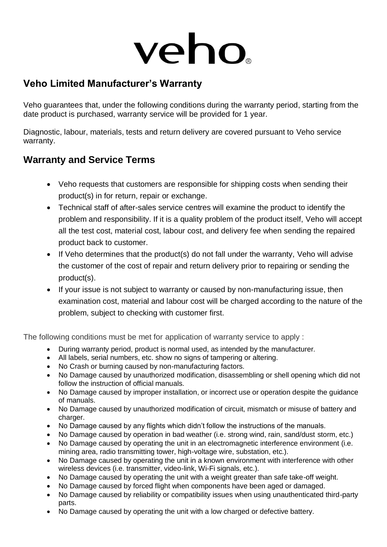# veho

#### **Veho Limited Manufacturer's Warranty**

Veho guarantees that, under the following conditions during the warranty period, starting from the date product is purchased, warranty service will be provided for 1 year.

Diagnostic, labour, materials, tests and return delivery are covered pursuant to Veho service warranty.

#### **Warranty and Service Terms**

- Veho requests that customers are responsible for shipping costs when sending their product(s) in for return, repair or exchange.
- Technical staff of after-sales service centres will examine the product to identify the problem and responsibility. If it is a quality problem of the product itself, Veho will accept all the test cost, material cost, labour cost, and delivery fee when sending the repaired product back to customer.
- If Veho determines that the product(s) do not fall under the warranty, Veho will advise the customer of the cost of repair and return delivery prior to repairing or sending the product(s).
- If your issue is not subject to warranty or caused by non-manufacturing issue, then examination cost, material and labour cost will be charged according to the nature of the problem, subject to checking with customer first.

The following conditions must be met for application of warranty service to apply :

- During warranty period, product is normal used, as intended by the manufacturer.
- All labels, serial numbers, etc. show no signs of tampering or altering.
- No Crash or burning caused by non-manufacturing factors.
- No Damage caused by unauthorized modification, disassembling or shell opening which did not follow the instruction of official manuals.
- No Damage caused by improper installation, or incorrect use or operation despite the guidance of manuals.
- No Damage caused by unauthorized modification of circuit, mismatch or misuse of battery and charger.
- No Damage caused by any flights which didn't follow the instructions of the manuals.
- No Damage caused by operation in bad weather (i.e. strong wind, rain, sand/dust storm, etc.)
- No Damage caused by operating the unit in an electromagnetic interference environment (i.e. mining area, radio transmitting tower, high-voltage wire, substation, etc.).
- No Damage caused by operating the unit in a known environment with interference with other wireless devices (i.e. transmitter, video-link, Wi-Fi signals, etc.).
- No Damage caused by operating the unit with a weight greater than safe take-off weight.
- No Damage caused by forced flight when components have been aged or damaged.
- No Damage caused by reliability or compatibility issues when using unauthenticated third-party parts.
- No Damage caused by operating the unit with a low charged or defective battery.